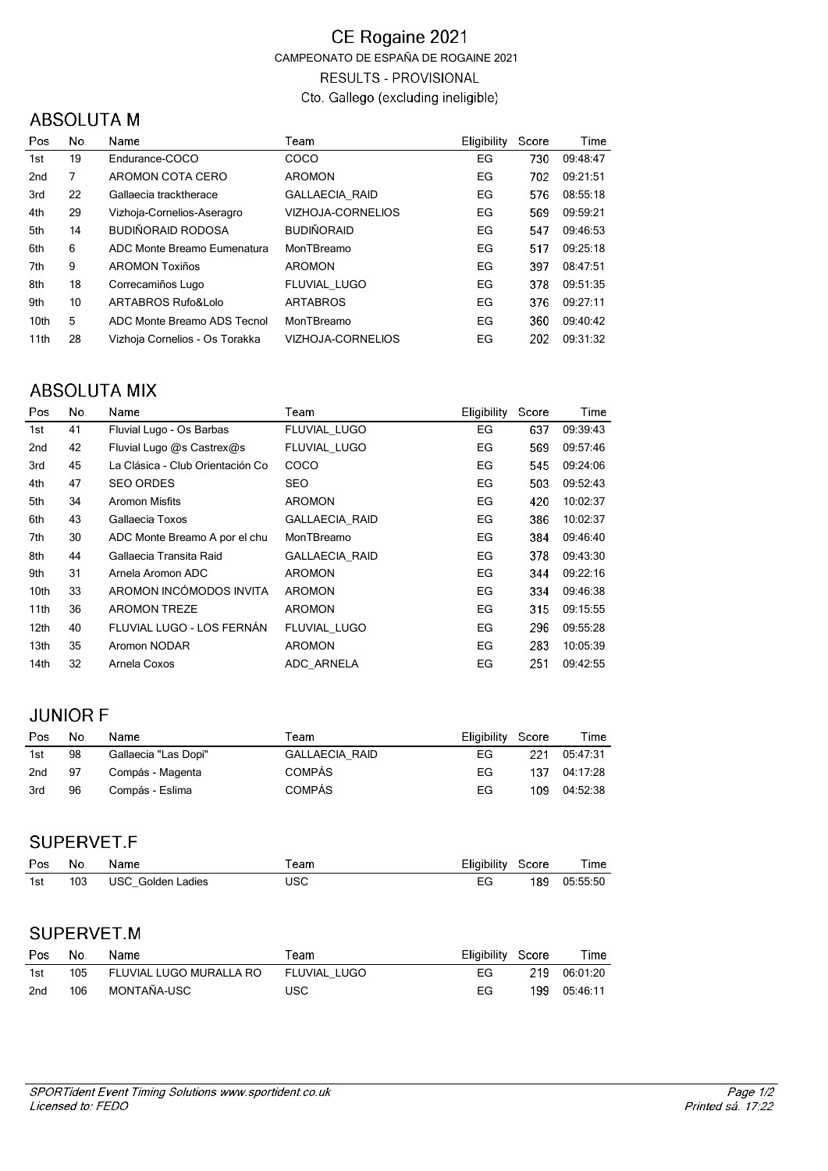#### CE Rogaine 2021 CAMPEONATO DE ESPAÑA DE ROGAINE 2021 **RESULTS - PROVISIONAL** Cto. Gallego (excluding ineligible)

## **ABSOLUTA M**

| Pos             | No. | Name                           | Team                  | <b>Eligibility</b> | Score | Time     |
|-----------------|-----|--------------------------------|-----------------------|--------------------|-------|----------|
| 1st             | 19  | Endurance-COCO                 | <b>COCO</b>           | EG                 | 730   | 09:48:47 |
| 2 <sub>nd</sub> | 7   | AROMON COTA CERO               | <b>AROMON</b>         | EG                 | 702   | 09:21:51 |
| 3rd             | 22  | Gallaecia tracktherace         | <b>GALLAECIA RAID</b> | EG                 | 576   | 08:55:18 |
| 4th             | 29  | Vizhoja-Cornelios-Aseragro     | VIZHOJA-CORNELIOS     | EG                 | 569   | 09:59:21 |
| 5th             | 14  | BUDIÑORAID RODOSA              | <b>BUDIÑORAID</b>     | EG                 | 547   | 09:46:53 |
| 6th             | 6   | ADC Monte Breamo Eumenatura    | MonTBreamo            | EG                 | 517   | 09:25:18 |
| 7th             | 9   | <b>AROMON Toxiños</b>          | <b>AROMON</b>         | EG                 | 397   | 08:47:51 |
| 8th             | 18  | Correcamiños Lugo              | FLUVIAL LUGO          | EG                 | 378   | 09:51:35 |
| 9th             | 10  | ARTABROS Rufo&Lolo             | <b>ARTABROS</b>       | EG                 | 376   | 09:27:11 |
| 10th            | 5   | ADC Monte Breamo ADS Tecnol    | MonTBreamo            | EG                 | 360   | 09:40:42 |
| 11th            | 28  | Vizhoia Cornelios - Os Torakka | VIZHOJA-CORNELIOS     | EG                 | 202   | 09:31:32 |

### **ABSOLUTA MIX**

| 09:39:43 |
|----------|
|          |
| 09:57:46 |
| 09:24:06 |
| 09:52:43 |
| 10:02:37 |
| 10:02:37 |
| 09:46:40 |
| 09:43:30 |
| 09:22:16 |
| 09:46:38 |
| 09:15:55 |
| 09:55:28 |
| 10:05:39 |
| 09:42:55 |
|          |

## **JUNIOR F**

| Pos             | No. | Name                 | Team                  | Eligibility Score |     | Time     |
|-----------------|-----|----------------------|-----------------------|-------------------|-----|----------|
| 1st             | 98  | Gallaecia "Las Dopi" | <b>GALLAECIA RAID</b> | EG                | 221 | 05:47:31 |
| 2 <sub>nd</sub> | 97  | Compás - Magenta     | <b>COMPÁS</b>         | EG                | 137 | 04:17:28 |
| 3rd             | 96  | Compás - Eslima      | <b>COMPÁS</b>         | EG                | 109 | 04:52:38 |

#### SUPERVET.F

| <b>Pos</b> | No. | <b>Name</b>           | eam  | Eligibility Score |     | Time     |
|------------|-----|-----------------------|------|-------------------|-----|----------|
| 1st        |     | 103 USC Golden Ladies | IJSC | EG                | 189 | 05:55:50 |

# SUPERVET.M

| Pos | No. | <b>Name</b>                              | Геаm       | Eligibility Score |     | Time         |
|-----|-----|------------------------------------------|------------|-------------------|-----|--------------|
| 1st |     | 105 FLUVIAL LUGO MURALLA RO FLUVIAL LUGO |            | FG.               |     | 219 06:01:20 |
| 2nd | 106 | MONTAÑA-USC                              | <b>USC</b> | FG                | 199 | 05 46 11     |